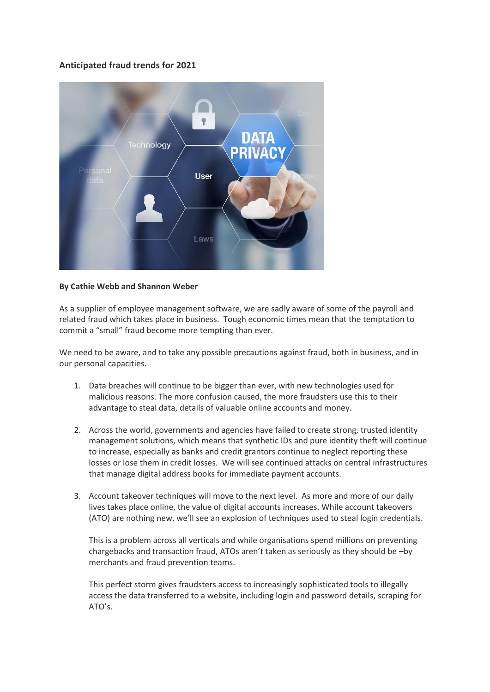## **Anticipated fraud trends for 2021**



## **By Cathie Webb and Shannon Weber**

As a supplier of employee management software, we are sadly aware of some of the payroll and related fraud which takes place in business. Tough economic times mean that the temptation to commit a "small" fraud become more tempting than ever.

We need to be aware, and to take any possible precautions against fraud, both in business, and in our personal capacities.

- 1. Data breaches will continue to be bigger than ever, with new technologies used for malicious reasons. The more confusion caused, the more fraudsters use this to their advantage to steal data, details of valuable online accounts and money.
- 2. Across the world, governments and agencies have failed to create strong, trusted identity management solutions, which means that synthetic IDs and pure identity theft will continue to increase, especially as banks and credit grantors continue to neglect reporting these losses or lose them in credit losses. We will see continued attacks on central infrastructures that manage digital address books for immediate payment accounts.
- 3. Account takeover techniques will move to the next level. As more and more of our daily lives takes place online, the value of digital accounts increases. While account takeovers (ATO) are nothing new, we'll see an explosion of techniques used to steal login credentials.

This is a problem across all verticals and while organisations spend millions on preventing chargebacks and transaction fraud, ATOs aren't taken as seriously as they should be –by merchants and fraud prevention teams.

This perfect storm gives fraudsters access to increasingly sophisticated tools to illegally access the data transferred to a website, including login and password details, scraping for ATO's.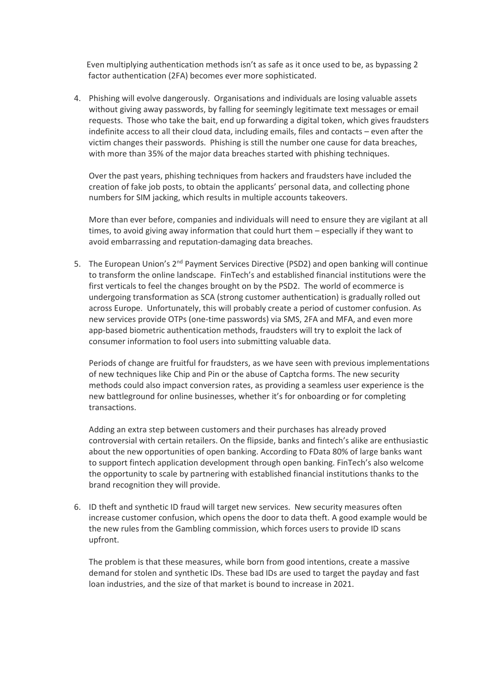Even multiplying authentication methods isn't as safe as it once used to be, as bypassing 2 factor authentication (2FA) becomes ever more sophisticated.

4. Phishing will evolve dangerously. Organisations and individuals are losing valuable assets without giving away passwords, by falling for seemingly legitimate text messages or email requests. Those who take the bait, end up forwarding a digital token, which gives fraudsters indefinite access to all their cloud data, including emails, files and contacts – even after the victim changes their passwords. Phishing is still the number one cause for data breaches, with more than 35% of the major data breaches started with phishing techniques.

Over the past years, phishing techniques from hackers and fraudsters have included the creation of fake job posts, to obtain the applicants' personal data, and collecting phone numbers for SIM jacking, which results in multiple accounts takeovers.

More than ever before, companies and individuals will need to ensure they are vigilant at all times, to avoid giving away information that could hurt them – especially if they want to avoid embarrassing and reputation-damaging data breaches.

5. The European Union's 2<sup>nd</sup> Payment Services Directive (PSD2) and open banking will continue to transform the online landscape. FinTech's and established financial institutions were the first verticals to feel the changes brought on by the PSD2. The world of ecommerce is undergoing transformation as SCA (strong customer authentication) is gradually rolled out across Europe. Unfortunately, this will probably create a period of customer confusion. As new services provide OTPs (one-time passwords) via SMS, 2FA and MFA, and even more app-based biometric authentication methods, fraudsters will try to exploit the lack of consumer information to fool users into submitting valuable data.

Periods of change are fruitful for fraudsters, as we have seen with previous implementations of new techniques like Chip and Pin or the abuse of Captcha forms. The new security methods could also impact conversion rates, as providing a seamless user experience is the new battleground for online businesses, whether it's for onboarding or for completing transactions.

Adding an extra step between customers and their purchases has already proved controversial with certain retailers. On the flipside, banks and fintech's alike are enthusiastic about the new opportunities of open banking. According to FData 80% of large banks want to support fintech application development through open banking. FinTech's also welcome the opportunity to scale by partnering with established financial institutions thanks to the brand recognition they will provide.

6. ID theft and synthetic ID fraud will target new services. New security measures often increase customer confusion, which opens the door to data theft. A good example would be the new rules from the Gambling commission, which forces users to provide ID scans upfront.

The problem is that these measures, while born from good intentions, create a massive demand for stolen and synthetic IDs. These bad IDs are used to target the payday and fast loan industries, and the size of that market is bound to increase in 2021.